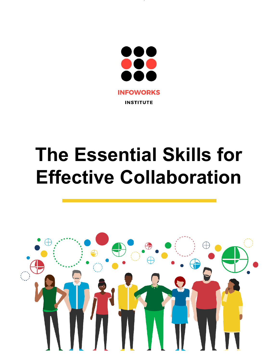

# **The Essential Skills for Effective Collaboration**

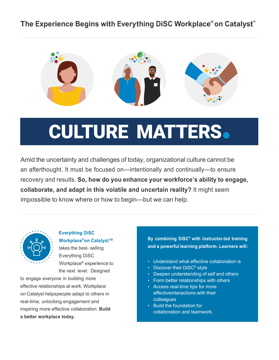### **The Experience Begins with Everything DiSC Workplace® on Catalyst ™**



## **CULTURE MATTERS.**

Amid the uncertainty and challenges of today, organizational culture cannot be an afterthought. It must be focused on—intentionally and continually—to ensure recovery and results. **So, how do you enhance your workforce's ability to engage, collaborate, and adapt in this volatile and uncertain reality?** It might seem impossible to know where or how to begin—but we can help.



**Everything DiSC Workplace®on Catalyst™**  takes the best- selling Everything DiSC Workplace® experience to the next level. Designed

to engage everyone in building more effective relationships at work, Workplace on Catalyst helpspeople adapt to others in real-time, unlocking engagement and inspiring more effective collaboration. **Build a better workplace today.**

**By combining DiSC® with instructor-led training and a powerful learning platform. Learners will:**

- Understand what effective collaboration is
- Discover their DiSC<sup>®</sup> style
- Deepen understanding of self and others
- Form better relationships with others
- Access real-time tips for more effectiveinteractions with their colleagues
- Build the foundation for collaboration and teamwork.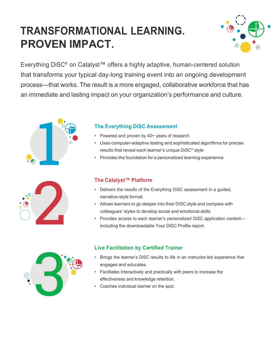## **TRANSFORMATIONAL LEARNING. PROVEN IMPACT.**



Everything DiSC® on Catalyst™ offers a highly adaptive, human-centered solution that transforms your typical day-long training event into an ongoing development process—that works. The result is a more engaged, collaborative workforce that has an immediate and lasting impact on your organization's performance and culture.





#### **The Everything DiSC Assessment**

- Powered and proven by 40+ years of research
- Uses computer-adaptive testing and sophisticated algorithms for precise results that reveal each learner's unique DiSC® style
- Provides the foundation for a personalized learning experience

#### **The Catalyst™ Platform**

- Delivers the results of the Everything DiSC assessment in a guided, narrative-style format
- Allows learners to go deeper into their DiSC style and compare with colleagues' styles to develop social and emotional skills
- Provides access to each learner's personalized DiSC application content including the downloadable Your DiSC Profile report.



#### **Live Facilitation by Certified Trainer**

- Brings the learner's DiSC results to life in an instructor-led experience that engages and educates.
- Facilitates Interactively and practically with peers to increase the effectiveness and knowledge retention.
- Coaches individual learner on the spot.